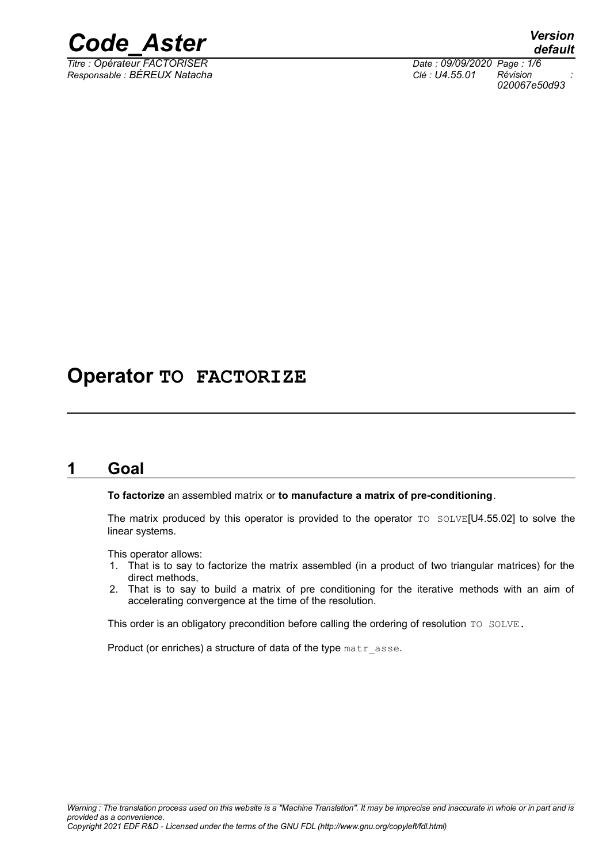

*Responsable : BÉREUX Natacha Clé : U4.55.01 Révision :*

*Titre : Opérateur FACTORISER Date : 09/09/2020 Page : 1/6 020067e50d93*

# **Operator TO FACTORIZE**

# **1 Goal**

**To factorize** an assembled matrix or **to manufacture a matrix of pre-conditioning**.

The matrix produced by this operator is provided to the operator TO SOLVE[U4.55.02] to solve the linear systems.

This operator allows:

- 1. That is to say to factorize the matrix assembled (in a product of two triangular matrices) for the direct methods,
- 2. That is to say to build a matrix of pre conditioning for the iterative methods with an aim of accelerating convergence at the time of the resolution.

This order is an obligatory precondition before calling the ordering of resolution TO SOLVE.

Product (or enriches) a structure of data of the type matr asse.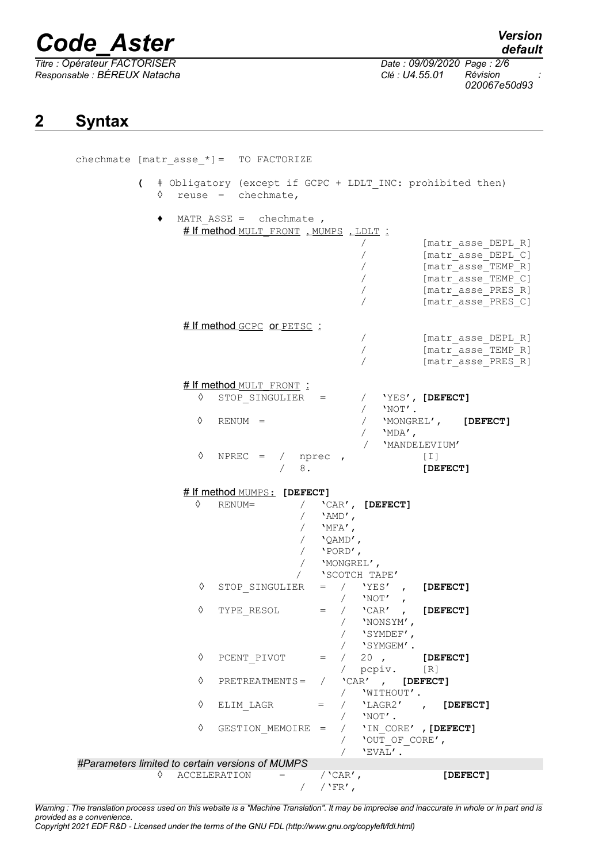# *Code\_Aster Version*

*Titre : Opérateur FACTORISER Date : 09/09/2020 Page : 2/6 Responsable : BÉREUX Natacha Clé : U4.55.01 Révision :*

*default 020067e50d93*

# **2 Syntax**

| chechmate [matr asse $*$ ] = TO FACTORIZE        |                                                                                                                                  |
|--------------------------------------------------|----------------------------------------------------------------------------------------------------------------------------------|
| $\sqrt{2}$<br>♦<br>$reuse = chechmate,$          | # Obligatory (except if GCPC + LDLT INC: prohibited then)                                                                        |
| MATR ASSE = $chechmate$ ,<br>٠                   | # If method MULT FRONT, MUMPS, LDLT:                                                                                             |
|                                                  | [matr asse DEPL R]<br>[matr asse DEPL C]<br>[matr asse TEMP R]<br>[matr asse TEMP C]<br>[matr asse PRES R]<br>[matr asse PRES C] |
| # If method GCPC or PETSC :                      |                                                                                                                                  |
|                                                  | [matr asse DEPL R]                                                                                                               |
|                                                  | [matr asse TEMP R]<br>[matr asse PRES R]                                                                                         |
|                                                  |                                                                                                                                  |
| # If method MULT FRONT :                         |                                                                                                                                  |
| ♦                                                | STOP SINGULIER =<br>/ 'YES', [DEFECT]                                                                                            |
|                                                  | $\sqrt{2}$<br>$'NOT'$ .                                                                                                          |
| ♦<br>$RENUM =$                                   | 'MONGREL', [DEFECT]                                                                                                              |
|                                                  | $'MDA'$ ,<br>/ 'MANDELEVIUM'                                                                                                     |
| ♦                                                | NPREC = $/$ nprec,<br>$[1]$                                                                                                      |
|                                                  |                                                                                                                                  |
|                                                  | 8.<br>[DEFECT]                                                                                                                   |
|                                                  |                                                                                                                                  |
| # If method MUMPS: [DEFECT]                      |                                                                                                                                  |
| ♦<br>RENUM=                                      | / $'$ $'$ $CAR'$ , $[DEFECT]$                                                                                                    |
|                                                  | $'AND'$ ,                                                                                                                        |
|                                                  | / $'$ MFA',                                                                                                                      |
|                                                  | / $'QAMD'$ ,                                                                                                                     |
|                                                  | / $'$ PORD',<br>/ 'MONGREL',                                                                                                     |
|                                                  | 'SCOTCH TAPE'<br>$\sqrt{2}$                                                                                                      |
| ♦                                                | STOP SINGULIER<br>$=$ / $'YES'$<br>[DEFECT]<br>$\mathbf{r}$<br>/ $'$ NOT',                                                       |
| ♦<br>TYPE_RESOL                                  | $'$ CAR $'$<br>, [DEFECT]<br>$=$                                                                                                 |
|                                                  | 'NONSYM',                                                                                                                        |
|                                                  | 'SYMDEF',                                                                                                                        |
|                                                  | / 'SYMGEM'.                                                                                                                      |
| ♦<br>PCENT PIVOT                                 | $=$ / 20, [DEFECT]                                                                                                               |
| ♦<br>PRETREATMENTS =                             | / pcpiv. [R]<br>/ $'$ CAR', [DEFECT]                                                                                             |
|                                                  | / 'WITHOUT'.                                                                                                                     |
| ♦<br>ELIM LAGR                                   | $=$ / $'$ LAGR2', [DEFECT]                                                                                                       |
|                                                  | / $'NOT'$ .                                                                                                                      |
| ♦                                                | GESTION MEMOIRE = $/$ 'IN CORE', [DEFECT]                                                                                        |
|                                                  | / 'OUT OF CORE',                                                                                                                 |
| #Parameters limited to certain versions of MUMPS | 'EVAL'.                                                                                                                          |
| ♦ ACCELERATION                                   | / $'$ CAR $'$ ,<br>[DEFECT]<br>$=$                                                                                               |

*Warning : The translation process used on this website is a "Machine Translation". It may be imprecise and inaccurate in whole or in part and is provided as a convenience.*

*Copyright 2021 EDF R&D - Licensed under the terms of the GNU FDL (http://www.gnu.org/copyleft/fdl.html)*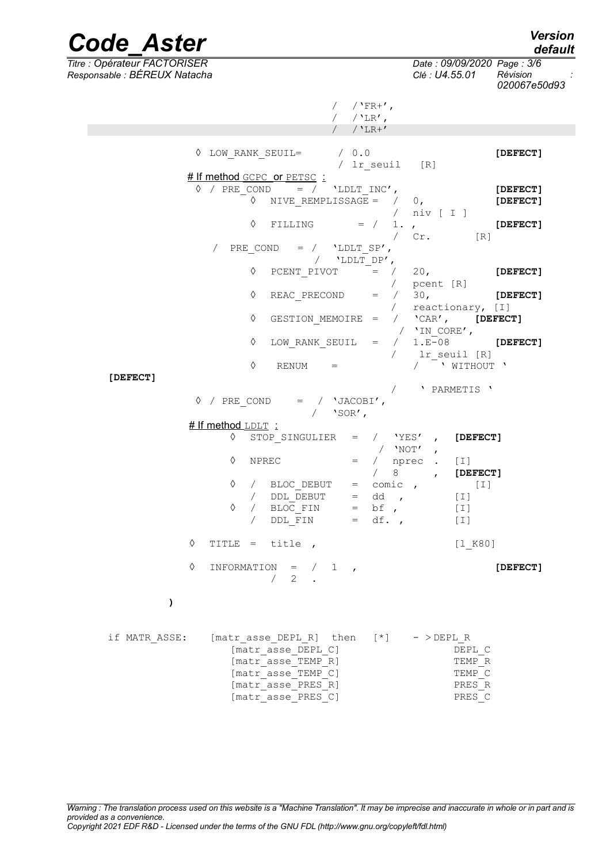| <b>Code Aster</b>                                            |               |                                                                      |            |                                                                                                |                                     |                        |            |                              |                                              | <b>Version</b><br>default |
|--------------------------------------------------------------|---------------|----------------------------------------------------------------------|------------|------------------------------------------------------------------------------------------------|-------------------------------------|------------------------|------------|------------------------------|----------------------------------------------|---------------------------|
| Titre : Opérateur FACTORISER<br>Responsable : BÉREUX Natacha |               |                                                                      |            |                                                                                                |                                     |                        |            |                              | Date: 09/09/2020 Page: 3/6<br>Clé : U4.55.01 | Révision<br>020067e50d93  |
|                                                              |               |                                                                      |            |                                                                                                |                                     | $/$ 'FR+',             |            |                              |                                              |                           |
|                                                              |               |                                                                      |            |                                                                                                |                                     | $/$ 'LR',<br>$/$ 'LR+' |            |                              |                                              |                           |
|                                                              |               |                                                                      |            |                                                                                                |                                     |                        |            |                              |                                              |                           |
|                                                              |               | $\Diamond$ LOW RANK SEUIL=                                           |            |                                                                                                | $/$ 0.0                             |                        |            | / lr seuil [R]               |                                              | [DEFECT]                  |
|                                                              |               | # If method GCPC or PETSC :<br>$\Diamond$ / PRE COND = / 'LDLT INC', |            |                                                                                                |                                     |                        |            |                              |                                              |                           |
|                                                              |               |                                                                      |            | $\Diamond$ NIVE REMPLISSAGE = $/ 0,$                                                           |                                     |                        |            | $/$ niv $[$ I $]$            |                                              | [DEFECT]<br>[DEFECT]      |
|                                                              |               |                                                                      | ♦          | FILLING                                                                                        |                                     | $=$ /                  | $\sqrt{2}$ | 1.7<br>Cr.                   | [R]                                          | [DEFECT]                  |
|                                                              |               |                                                                      | PRE COND   |                                                                                                | $=$ / $'$ LDLT SP',<br>/ 'LDLT DP', |                        |            |                              |                                              |                           |
|                                                              |               |                                                                      | ♦          | PCENT PIVOT                                                                                    |                                     | $=$ /                  |            | 20 <sub>1</sub><br>pcent [R] |                                              | [DEFECT]                  |
|                                                              |               |                                                                      | ♦          | REAC PRECOND =                                                                                 |                                     |                        | $\sqrt{2}$ | 30 <sub>1</sub>              | reactionary, [I]                             | [DEFECT]                  |
|                                                              |               |                                                                      | ♦          |                                                                                                |                                     |                        |            | / 'IN CORE',                 | GESTION MEMOIRE = $/$ 'CAR', [DEFECT]        |                           |
|                                                              |               |                                                                      | ♦          | LOW RANK SEUIL $=$ /                                                                           |                                     |                        | $\sqrt{2}$ |                              | $1.E-08$<br>lr seuil [R]                     | [DEFECT]                  |
| [DEFECT]                                                     |               |                                                                      | ♦          | RENUM                                                                                          | $=$                                 |                        |            |                              | / WITHOUT \                                  |                           |
|                                                              |               |                                                                      |            |                                                                                                |                                     |                        | $\sqrt{2}$ |                              | ' PARMETIS '                                 |                           |
|                                                              | ♦             | / PRE COND = / $'JACOBI'$ ,                                          |            |                                                                                                | $/$ 'SOR',                          |                        |            |                              |                                              |                           |
|                                                              |               | # If method LDLT :                                                   |            |                                                                                                |                                     |                        |            |                              |                                              |                           |
|                                                              |               | ♦                                                                    |            | STOP SINGULIER                                                                                 |                                     | $=$ / $'YES'$          | $/$ 'Not'  | $\mathbf{r}$<br>$\mathbf{r}$ | [DEFECT]                                     |                           |
|                                                              |               | ♦                                                                    | NPREC      |                                                                                                | $=$                                 | $\sqrt{2}$             | 8          | nprec                        | $[1]$<br>[DEFECT]                            |                           |
|                                                              |               | ♦                                                                    | $\sqrt{2}$ | BLOC DEBUT                                                                                     | $=$                                 |                        | comic,     |                              | [I]                                          |                           |
|                                                              |               |                                                                      |            | / DDL DEBUT                                                                                    |                                     | $=$ dd ,               |            |                              | $[1]$                                        |                           |
|                                                              |               | ♦                                                                    |            | $/$ BLOC_FIN<br>/ DDL FIN                                                                      |                                     | $=$ bf,<br>$= df.$     |            |                              | $[1]$<br>$[1]$                               |                           |
|                                                              | ♦             | TITLE = title,                                                       |            |                                                                                                |                                     |                        |            |                              | [1 K80]                                      |                           |
|                                                              | ♦             |                                                                      |            | INFORMATION = $/ 1$ ,<br>$\begin{array}{ccc} \begin{array}{ccc} \end{array} & 2 & \end{array}$ |                                     |                        |            |                              |                                              | [DEFECT]                  |
|                                                              | $\lambda$     |                                                                      |            |                                                                                                |                                     |                        |            |                              |                                              |                           |
|                                                              | if MATR ASSE: | [matr asse DEPL R] then $[*]$ ->DEPL R                               |            |                                                                                                |                                     |                        |            |                              |                                              |                           |
|                                                              |               |                                                                      |            | [matr asse DEPL C]<br>[matr asse TEMP R]                                                       |                                     |                        |            |                              | DEPL C<br>TEMP R                             |                           |
|                                                              |               |                                                                      |            | [matr asse TEMP C]<br>[matr asse PRES R]                                                       |                                     |                        |            |                              | TEMP C<br>PRES R                             |                           |
|                                                              |               |                                                                      |            | [matr asse PRES C]                                                                             |                                     |                        |            |                              | PRES C                                       |                           |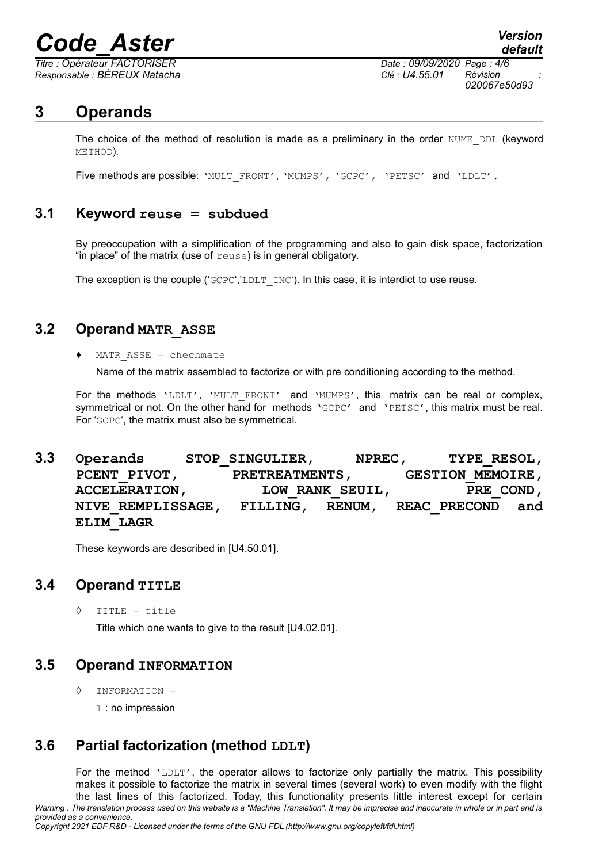# *Code\_Aster Version*

*Responsable : BÉREUX Natacha Clé : U4.55.01 Révision :*

*Titre : Opérateur FACTORISER Date : 09/09/2020 Page : 4/6 020067e50d93*

*default*

### **3 Operands**

The choice of the method of resolution is made as a preliminary in the order NUME\_DDL (keyword METHOD).

Five methods are possible: 'MULT\_FRONT', 'MUMPS', 'GCPC', 'PETSC' and 'LDLT'.

#### **3.1 Keyword reuse = subdued**

By preoccupation with a simplification of the programming and also to gain disk space, factorization "in place" of the matrix (use of reuse) is in general obligatory.

The exception is the couple ('GCPC','LDLT INC'). In this case, it is interdict to use reuse.

#### **3.2 Operand MATR\_ASSE**

 $MATR ASSE = chechmate$ 

Name of the matrix assembled to factorize or with pre conditioning according to the method.

For the methods 'LDLT', 'MULT\_FRONT' and 'MUMPS', this matrix can be real or complex, symmetrical or not. On the other hand for methods 'GCPC' and 'PETSC', this matrix must be real. For 'GCPC', the matrix must also be symmetrical.

**3.3 Operands STOP\_SINGULIER, NPREC, TYPE\_RESOL, PCENT\_PIVOT, PRETREATMENTS, GESTION\_MEMOIRE,** ACCELERATION, LOW\_RANK\_SEUIL, PRE\_COND, **NIVE\_REMPLISSAGE, FILLING, RENUM, REAC\_PRECOND and ELIM\_LAGR**

These keywords are described in [U4.50.01].

#### **3.4 Operand TITLE**

◊ TITLE = title

Title which one wants to give to the result [U4.02.01].

#### **3.5 Operand INFORMATION**

◊ INFORMATION =

1 : no impression

#### **3.6 Partial factorization (method LDLT)**

For the method 'LDLT', the operator allows to factorize only partially the matrix. This possibility makes it possible to factorize the matrix in several times (several work) to even modify with the flight the last lines of this factorized. Today, this functionality presents little interest except for certain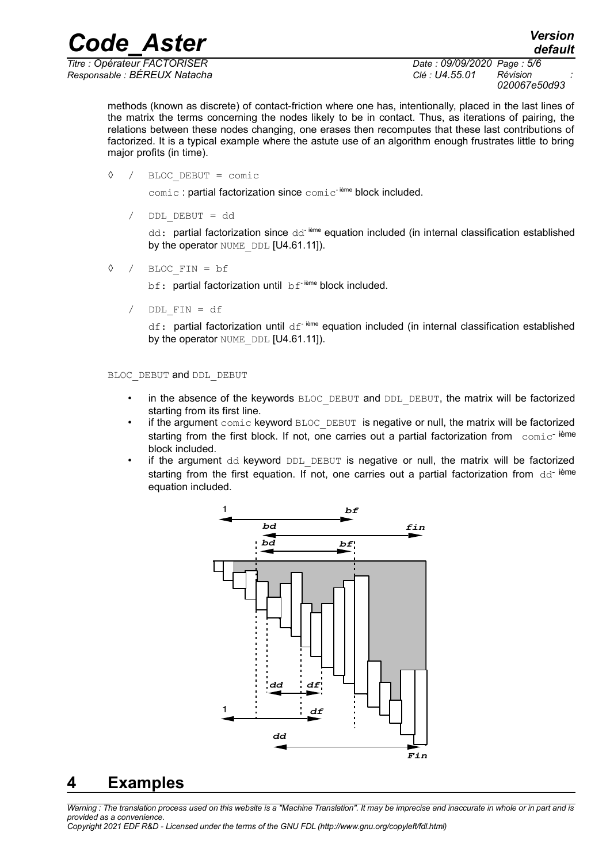*Code\_Aster Version*

*Responsable : BÉREUX Natacha Clé : U4.55.01 Révision :*

*Titre : Opérateur FACTORISER Date : 09/09/2020 Page : 5/6 020067e50d93*

*default*

methods (known as discrete) of contact-friction where one has, intentionally, placed in the last lines of the matrix the terms concerning the nodes likely to be in contact. Thus, as iterations of pairing, the relations between these nodes changing, one erases then recomputes that these last contributions of factorized. It is a typical example where the astute use of an algorithm enough frustrates little to bring major profits (in time).

◊ / BLOC\_DEBUT = comic

 $comic$ : partial factorization since  $comic$ <sup>-ième</sup> block included.

/ DDL\_DEBUT = dd

dd: partial factorization since dd<sup>- ième</sup> equation included (in internal classification established by the operator NUME DDL [U4.61.11]).

◊ / BLOC\_FIN = bf

bf: partial factorization until bf<sup>-ième</sup> block included.

 $/$  DDL FIN = df

df: partial factorization until df<sup>-ième</sup> equation included (in internal classification established by the operator NUME DDL [U4.61.11]).

BLOC\_DEBUT and DDL\_DEBUT

- in the absence of the keywords BLOC\_DEBUT and DDL\_DEBUT, the matrix will be factorized starting from its first line.
- if the argument comic keyword BLOC DEBUT is negative or null, the matrix will be factorized starting from the first block. If not, one carries out a partial factorization from comic<sup>-ième</sup> block included.
- if the argument dd keyword DDL DEBUT is negative or null, the matrix will be factorized starting from the first equation. If not, one carries out a partial factorization from  $dd^{-}$  ième equation included.



# **4 Examples**

*Warning : The translation process used on this website is a "Machine Translation". It may be imprecise and inaccurate in whole or in part and is provided as a convenience.*

*Copyright 2021 EDF R&D - Licensed under the terms of the GNU FDL (http://www.gnu.org/copyleft/fdl.html)*